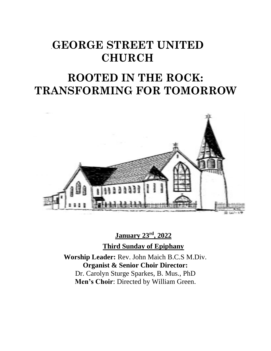# .**GEORGE STREET UNITED CHURCH**

# **ROOTED IN THE ROCK: TRANSFORMING FOR TOMORROW**



**January 23rd , 2022**

**Third Sunday of Epiphany**

**Worship Leader:** Rev. John Maich B.C.S M.Div. **Organist & Senior Choir Director:**  Dr. Carolyn Sturge Sparkes, B. Mus., PhD **Men's Choir**: Directed by William Green.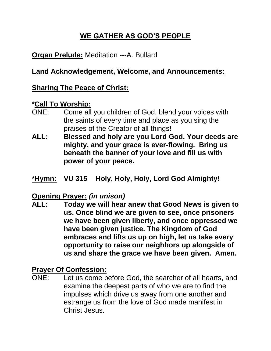## **WE GATHER AS GOD'S PEOPLE**

## **Organ Prelude:** Meditation ---A. Bullard

## **Land Acknowledgement, Welcome, and Announcements:**

## **Sharing The Peace of Christ:**

#### **\*Call To Worship:**

- ONE: Come all you children of God, blend your voices with the saints of every time and place as you sing the praises of the Creator of all things!
- **ALL: Blessed and holy are you Lord God. Your deeds are mighty, and your grace is ever-flowing. Bring us beneath the banner of your love and fill us with power of your peace.**
- **\*Hymn: VU 315 Holy, Holy, Holy, Lord God Almighty!**

## **Opening Prayer:** *(in unison)*

**ALL: Today we will hear anew that Good News is given to us. Once blind we are given to see, once prisoners we have been given liberty, and once oppressed we have been given justice. The Kingdom of God embraces and lifts us up on high, let us take every opportunity to raise our neighbors up alongside of us and share the grace we have been given. Amen.**

#### **Prayer Of Confession:**

ONE: Let us come before God, the searcher of all hearts, and examine the deepest parts of who we are to find the impulses which drive us away from one another and estrange us from the love of God made manifest in Christ Jesus.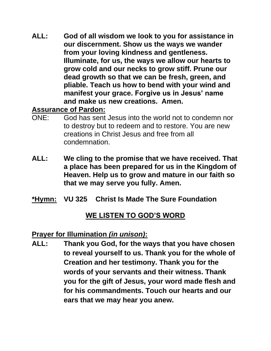**ALL: God of all wisdom we look to you for assistance in our discernment. Show us the ways we wander from your loving kindness and gentleness. Illuminate, for us, the ways we allow our hearts to grow cold and our necks to grow stiff. Prune our dead growth so that we can be fresh, green, and pliable. Teach us how to bend with your wind and manifest your grace. Forgive us in Jesus' name and make us new creations. Amen.**

### **Assurance of Pardon:**

- ONE: God has sent Jesus into the world not to condemn nor to destroy but to redeem and to restore. You are new creations in Christ Jesus and free from all condemnation.
- **ALL: We cling to the promise that we have received. That a place has been prepared for us in the Kingdom of Heaven. Help us to grow and mature in our faith so that we may serve you fully. Amen.**
- **\*Hymn: VU 325 Christ Is Made The Sure Foundation**

## **WE LISTEN TO GOD'S WORD**

#### **Prayer for Illumination** *(in unison)***:**

**ALL: Thank you God, for the ways that you have chosen to reveal yourself to us. Thank you for the whole of Creation and her testimony. Thank you for the words of your servants and their witness. Thank you for the gift of Jesus, your word made flesh and for his commandments. Touch our hearts and our ears that we may hear you anew.**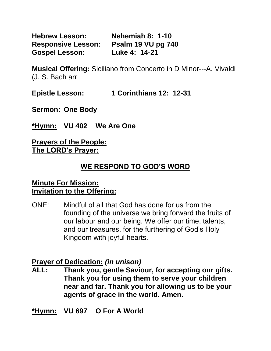**Hebrew Lesson: Nehemiah 8: 1-10 Responsive Lesson: Psalm 19 VU pg 740 Gospel Lesson: Luke 4: 14-21**

**Musical Offering:** Siciliano from Concerto in D Minor---A. Vivaldi (J. S. Bach arr

**Epistle Lesson: 1 Corinthians 12: 12-31**

**Sermon: One Body**

**\*Hymn: VU 402 We Are One**

#### **Prayers of the People: The LORD's Prayer:**

## **WE RESPOND TO GOD'S WORD**

#### **Minute For Mission: Invitation to the Offering:**

ONE: Mindful of all that God has done for us from the founding of the universe we bring forward the fruits of our labour and our being. We offer our time, talents, and our treasures, for the furthering of God's Holy Kingdom with joyful hearts.

#### **Prayer of Dedication:** *(in unison)*

**ALL: Thank you, gentle Saviour, for accepting our gifts. Thank you for using them to serve your children near and far. Thank you for allowing us to be your agents of grace in the world. Amen.**

**\*Hymn: VU 697 O For A World**